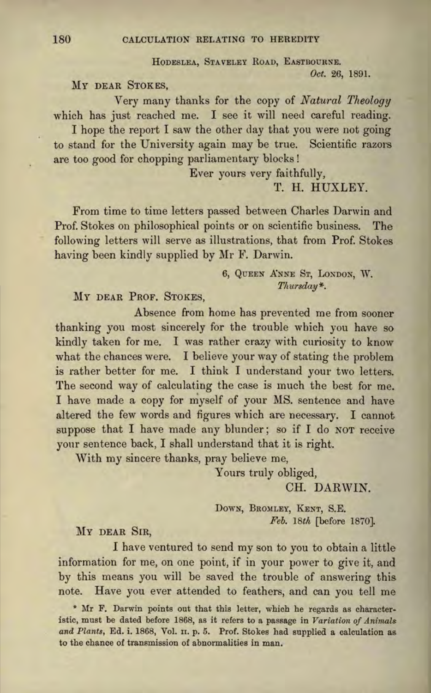HODESLEA, STAVELEY ROAD, EASTBOURNE. *Oct.* 26, 1891.

## MY DEAR STOKES,

Very many thanks for the copy of *Natural Theology*  which has just reached me. I see it will need careful reading.

I hope the report I saw the other day that you were not going to stand for the University again may be true. Scientific razors are too good for chopping parliamentary blocks !

Ever yours very faithfully,

T. H. HUXLEY.

From time to time letters passed between Charles Darwin and Prof. Stokes on philosophical points or on scientific business. The following letters will serve as illustrations, that from Prof. Stokes having been kindly supplied by Mr F. Darwin.

#### 6, QUEEN ANNE ST, LONDON, W. *Thursday\*.*

## MY DEAR PROF. STOKES,

Absence from home has prevented me from sooner thanking you most sincerely for the trouble which you have so kindly taken for me. I was rather crazy with curiosity to know what the chances were. I believe your way of stating the problem is rather better for me. I think I understand your two letters. The second way of calculating the case is much the best for me. I have made a copy for myself of your MS. sentence and have altered the few words and figures which are necessary. I cannot suppose that I have made any blunder; so if I do NOT receive yonr sentence back, I shall understand that it is right.

With my sincere thanks, pray believe me,

Yours truly obliged,

CH. DARWIN.

DOWN, BROMLEY, KENT, S.E. *Feb. 18th* [before 1870].

#### MY DEAR SIR,

I have ventured to send my son to you to obtain a little information for me, on one point, if in your power to give it, and by this means you will be saved the trouble of answering this note. Have you ever attended to feathers, and can you tell me

\* Mr F. Darwin points out that this Jetter, which he regards as characteristic, must be dated before 1868, as it refers to a passage in *Variation of Animal\$*  and Plants, Ed. i. 1868, Vol. II. p. 5. Prof. Stokes had supplied a calculation as to the chance of transmission of abnormalities in man.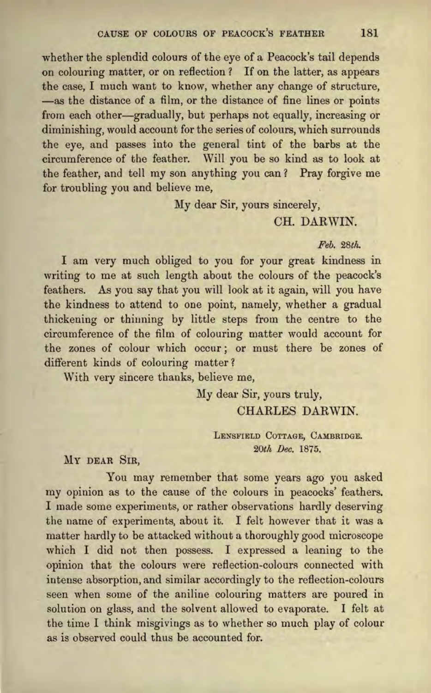whether the splendid colours of the eye of a Peacock's tail depends on colouring matter, or on reflection ? If on the latter, as appears the case, I much want to know, whether any change of structure, -as the distance of a film, or the distance of fine lines or points from each other-gradually, but perhaps not equally, increasing or diminishing, would account for the series of colours, which surrounds the eye, and passes into the general tint of the barbs at the circumference of the feather. Will you be so kind as to look at the feather, and tell my son anything you can? Pray forgive me for troubling you and believe me,

My dear Sir, yours sincerely,

# CH. DARWIN.

## *Feb. 28th.*

I am very much obliged to you for your great kindness in writing to me at such length about the colours of the peacock's feathers. As you say that you will look at it again, will you have the kindness to attend to one point, namely, whether a gradual thickening or thinning by little steps from the centre to the circumference of the film of colouring matter would account for the zones of colour which occur; or must there be zones of different kinds of colouring matter?

With very sincere thanks, believe me,

My dear Sir, yours truly, CHARLES DARWIN.

> LENSFIELD COTTAGE, CAMBRIDGE. *20th Dec.* 1875.

MY DEAR SIR,

You may remember that some years ago you asked my opinion as to the cause of the colours in peacocks' feathers. I made some experiments, or rather observations hardly deserving the name of experiments, about it. I felt however that it was a matter hardly to be attacked without a thoroughly good microscope which I did not then possess. I expressed a leaning to the opinion that the colours were reflection-colours connected with intense absorption, and similar accordingly to the reflection-colours seen when some of the aniline colouring matters are poured in solution on glass, and the solvent allowed to evaporate. I felt at the time I think misgivings as to whether so much play of colour as is observed could thus be accounted for.